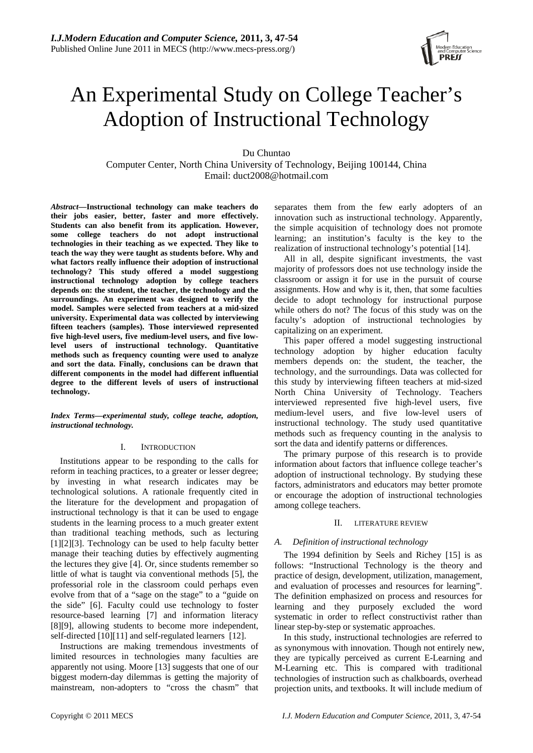# An Experimental Study on College Teacher's Adoption of Instructional Technology

Du Chuntao

Computer Center, North China University of Technology, Beijing 100144, China Email: duct2008@hotmail.com

*Abstract***—Instructional technology can make teachers do their jobs easier, better, faster and more effectively. Students can also benefit from its application. However, some college teachers do not adopt instructional technologies in their teaching as we expected. They like to teach the way they were taught as students before. Why and what factors really influence their adoption of instructional technology? This study offered a model suggestiong instructional technology adoption by college teachers depends on: the student, the teacher, the technology and the surroundings. An experiment was designed to verify the model. Samples were selected from teachers at a mid-sized university. Experimental data was collected by interviewing fifteen teachers (samples). Those interviewed represented five high-level users, five medium-level users, and five lowlevel users of instructional technology. Quantitative methods such as frequency counting were used to analyze and sort the data. Finally, conclusions can be drawn that different components in the model had different influential degree to the different levels of users of instructional technology.** 

*Index Terms—experimental study, college teache, adoption, instructional technology.* 

## I. INTRODUCTION

Institutions appear to be responding to the calls for reform in teaching practices, to a greater or lesser degree; by investing in what research indicates may be technological solutions. A rationale frequently cited in the literature for the development and propagation of instructional technology is that it can be used to engage students in the learning process to a much greater extent than traditional teaching methods, such as lecturing [1][2][3]. Technology can be used to help faculty better manage their teaching duties by effectively augmenting the lectures they give [4]. Or, since students remember so little of what is taught via conventional methods [5], the professorial role in the classroom could perhaps even evolve from that of a "sage on the stage" to a "guide on the side" [6]. Faculty could use technology to foster resource-based learning [7] and information literacy [8][9], allowing students to become more independent, self-directed [10][11] and self-regulated learners [12].

Instructions are making tremendous investments of limited resources in technologies many faculties are apparently not using. Moore [13] suggests that one of our biggest modern-day dilemmas is getting the majority of mainstream, non-adopters to "cross the chasm" that separates them from the few early adopters of an innovation such as instructional technology. Apparently, the simple acquisition of technology does not promote learning; an institution's faculty is the key to the realization of instructional technology's potential [14].

All in all, despite significant investments, the vast majority of professors does not use technology inside the classroom or assign it for use in the pursuit of course assignments. How and why is it, then, that some faculties decide to adopt technology for instructional purpose while others do not? The focus of this study was on the faculty's adoption of instructional technologies by capitalizing on an experiment.

This paper offered a model suggesting instructional technology adoption by higher education faculty members depends on: the student, the teacher, the technology, and the surroundings. Data was collected for this study by interviewing fifteen teachers at mid-sized North China University of Technology. Teachers interviewed represented five high-level users, five medium-level users, and five low-level users of instructional technology. The study used quantitative methods such as frequency counting in the analysis to sort the data and identify patterns or differences.

The primary purpose of this research is to provide information about factors that influence college teacher's adoption of instructional technology. By studying these factors, administrators and educators may better promote or encourage the adoption of instructional technologies among college teachers.

# II. LITERATURE REVIEW

## *A. Definition of instructional technology*

The 1994 definition by Seels and Richey [15] is as follows: "Instructional Technology is the theory and practice of design, development, utilization, management, and evaluation of processes and resources for learning". The definition emphasized on process and resources for learning and they purposely excluded the word systematic in order to reflect constructivist rather than linear step-by-step or systematic approaches.

In this study, instructional technologies are referred to as synonymous with innovation. Though not entirely new, they are typically perceived as current E-Learning and M-Learning etc. This is compared with traditional technologies of instruction such as chalkboards, overhead projection units, and textbooks. It will include medium of

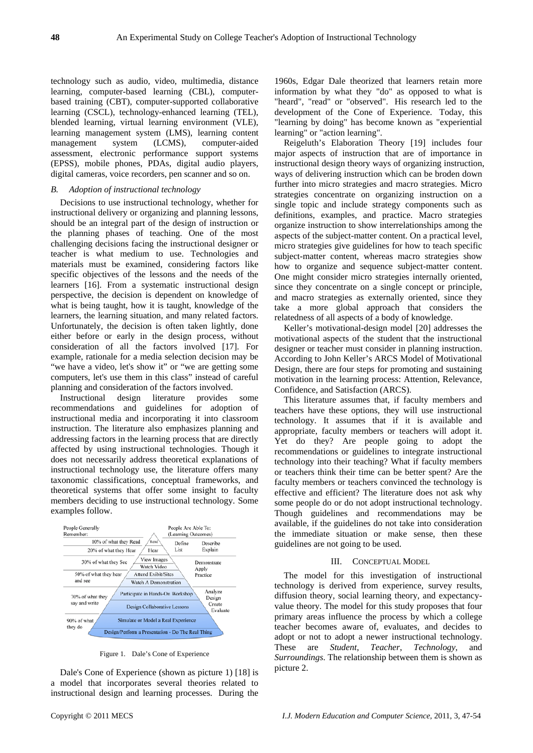technology such as audio, video, multimedia, distance learning, computer-based learning (CBL), computerbased training (CBT), computer-supported collaborative learning (CSCL), technology-enhanced learning (TEL), blended learning, virtual learning environment (VLE), learning management system (LMS), learning content management system (LCMS), computer-aided assessment, electronic performance support systems (EPSS), mobile phones, PDAs, digital audio players, digital cameras, voice recorders, pen scanner and so on.

## *B. Adoption of instructional technology*

Decisions to use instructional technology, whether for instructional delivery or organizing and planning lessons, should be an integral part of the design of instruction or the planning phases of teaching. One of the most challenging decisions facing the instructional designer or teacher is what medium to use. Technologies and materials must be examined, considering factors like specific objectives of the lessons and the needs of the learners [16]. From a systematic instructional design perspective, the decision is dependent on knowledge of what is being taught, how it is taught, knowledge of the learners, the learning situation, and many related factors. Unfortunately, the decision is often taken lightly, done either before or early in the design process, without consideration of all the factors involved [17]. For example, rationale for a media selection decision may be "we have a video, let's show it" or "we are getting some computers, let's use them in this class" instead of careful planning and consideration of the factors involved.

Instructional design literature provides some recommendations and guidelines for adoption of instructional media and incorporating it into classroom instruction. The literature also emphasizes planning and addressing factors in the learning process that are directly affected by using instructional technologies. Though it does not necessarily address theoretical explanations of instructional technology use, the literature offers many taxonomic classifications, conceptual frameworks, and theoretical systems that offer some insight to faculty members deciding to use instructional technology. Some examples follow.



Figure 1. Dale's Cone of Experience

Dale's Cone of Experience (shown as picture 1) [18] is a model that incorporates several theories related to instructional design and learning processes. During the

1960s, Edgar Dale theorized that learners retain more information by what they "do" as opposed to what is "heard", "read" or "observed". His research led to the development of the Cone of Experience. Today, this "learning by doing" has become known as "experiential learning" or "action learning".

Reigeluth's Elaboration Theory [19] includes four major aspects of instruction that are of importance in instructional design theory ways of organizing instruction, ways of delivering instruction which can be broden down further into micro strategies and macro strategies. Micro strategies concentrate on organizing instruction on a single topic and include strategy components such as definitions, examples, and practice. Macro strategies organize instruction to show interrelationships among the aspects of the subject-matter content. On a practical level, micro strategies give guidelines for how to teach specific subject-matter content, whereas macro strategies show how to organize and sequence subject-matter content. One might consider micro strategies internally oriented, since they concentrate on a single concept or principle, and macro strategies as externally oriented, since they take a more global approach that considers the relatedness of all aspects of a body of knowledge.

Keller's motivational-design model [20] addresses the motivational aspects of the student that the instructional designer or teacher must consider in planning instruction. According to John Keller's ARCS Model of Motivational Design, there are four steps for promoting and sustaining motivation in the learning process: Attention, Relevance, Confidence, and Satisfaction (ARCS).

This literature assumes that, if faculty members and teachers have these options, they will use instructional technology. It assumes that if it is available and appropriate, faculty members or teachers will adopt it. Yet do they? Are people going to adopt the recommendations or guidelines to integrate instructional technology into their teaching? What if faculty members or teachers think their time can be better spent? Are the faculty members or teachers convinced the technology is effective and efficient? The literature does not ask why some people do or do not adopt instructional technology. Though guidelines and recommendations may be available, if the guidelines do not take into consideration the immediate situation or make sense, then these guidelines are not going to be used.

## III. CONCEPTUAL MODEL

The model for this investigation of instructional technology is derived from experience, survey results, diffusion theory, social learning theory, and expectancyvalue theory. The model for this study proposes that four primary areas influence the process by which a college teacher becomes aware of, evaluates, and decides to adopt or not to adopt a newer instructional technology. These are *Student*, *Teacher*, *Technology*, and *Surroundings*. The relationship between them is shown as picture 2.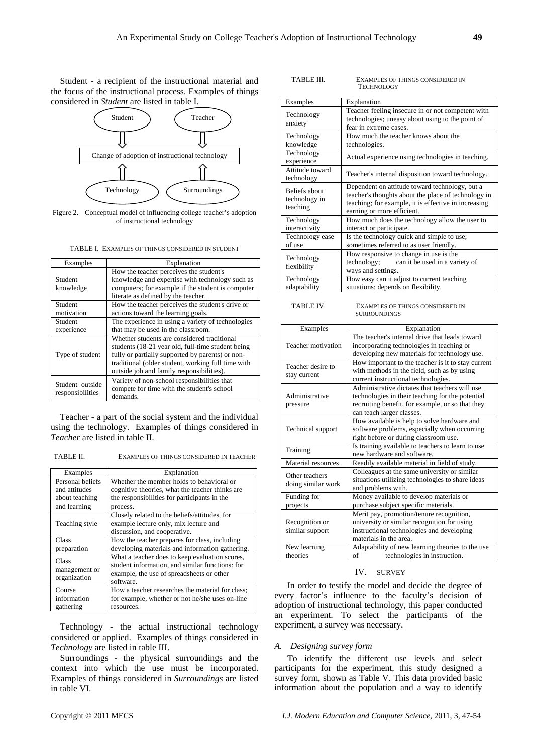Student - a recipient of the instructional material and the focus of the instructional process. Examples of things considered in *Student* are listed in table I.



Figure 2. Conceptual model of influencing college teacher's adoption of instructional technology

|  | TABLE I. EXAMPLES OF THINGS CONSIDERED IN STUDENT |
|--|---------------------------------------------------|
|--|---------------------------------------------------|

| Examples         | Explanation                                        |  |  |  |  |
|------------------|----------------------------------------------------|--|--|--|--|
|                  | How the teacher perceives the student's            |  |  |  |  |
| Student          | knowledge and expertise with technology such as    |  |  |  |  |
| knowledge        | computers; for example if the student is computer  |  |  |  |  |
|                  | literate as defined by the teacher.                |  |  |  |  |
| Student          | How the teacher perceives the student's drive or   |  |  |  |  |
| motivation       | actions toward the learning goals.                 |  |  |  |  |
| Student          | The experience in using a variety of technologies  |  |  |  |  |
| experience       | that may be used in the classroom.                 |  |  |  |  |
|                  | Whether students are considered traditional        |  |  |  |  |
|                  | students (18-21 year old, full-time student being  |  |  |  |  |
| Type of student  | fully or partially supported by parents) or non-   |  |  |  |  |
|                  | traditional (older student, working full time with |  |  |  |  |
|                  | outside job and family responsibilities).          |  |  |  |  |
| Student outside  | Variety of non-school responsibilities that        |  |  |  |  |
| responsibilities | compete for time with the student's school         |  |  |  |  |
|                  | demands.                                           |  |  |  |  |

Teacher - a part of the social system and the individual using the technology. Examples of things considered in *Teacher* are listed in table II.

TABLE II. EXAMPLES OF THINGS CONSIDERED IN TEACHER

|  | $E = 1 - 1 - 1$                        |  |  |
|--|----------------------------------------|--|--|
|  |                                        |  |  |
|  | елини ево от типумо сотмренер путелене |  |  |

| Examples                      | Explanation                                      |
|-------------------------------|--------------------------------------------------|
| Personal beliefs              | Whether the member holds to behavioral or        |
| and attitudes                 | cognitive theories, what the teacher thinks are  |
| about teaching                | the responsibilities for participants in the     |
| and learning                  | process.                                         |
|                               | Closely related to the beliefs/attitudes, for    |
| Teaching style                | example lecture only, mix lecture and            |
|                               | discussion, and cooperative.                     |
| Class                         | How the teacher prepares for class, including    |
| preparation                   | developing materials and information gathering.  |
| Class                         | What a teacher does to keep evaluation scores,   |
|                               | student information, and similar functions: for  |
| management or<br>organization | example, the use of spreadsheets or other        |
|                               | software.                                        |
| Course                        | How a teacher researches the material for class; |
| information                   | for example, whether or not he/she uses on-line  |
| gathering                     | resources.                                       |

Technology - the actual instructional technology considered or applied. Examples of things considered in *Technology* are listed in table III.

Surroundings - the physical surroundings and the context into which the use must be incorporated. Examples of things considered in *Surroundings* are listed in table VI.

EXAMPLES OF THINGS CONSIDERED IN TECHNOLOGY

| Examples                                          | Explanation                                                                                                                                                                                 |
|---------------------------------------------------|---------------------------------------------------------------------------------------------------------------------------------------------------------------------------------------------|
|                                                   |                                                                                                                                                                                             |
| Technology                                        | Teacher feeling insecure in or not competent with<br>technologies; uneasy about using to the point of                                                                                       |
| anxiety                                           | fear in extreme cases.                                                                                                                                                                      |
| Technology                                        | How much the teacher knows about the                                                                                                                                                        |
| knowledge                                         | technologies.                                                                                                                                                                               |
| Technology<br>experience                          | Actual experience using technologies in teaching.                                                                                                                                           |
| Attitude toward<br>technology                     | Teacher's internal disposition toward technology.                                                                                                                                           |
| <b>Beliefs about</b><br>technology in<br>teaching | Dependent on attitude toward technology, but a<br>teacher's thoughts about the place of technology in<br>teaching; for example, it is effective in increasing<br>earning or more efficient. |
| Technology<br>interactivity                       | How much does the technology allow the user to<br>interact or participate.                                                                                                                  |
| Technology ease<br>of use                         | Is the technology quick and simple to use;<br>sometimes referred to as user friendly.                                                                                                       |
| Technology<br>flexibility                         | How responsive to change in use is the<br>technology;<br>can it be used in a variety of<br>ways and settings.                                                                               |
| Technology<br>adaptability                        | How easy can it adjust to current teaching<br>situations; depends on flexibility.                                                                                                           |

TABLE IV. EXAMPLES OF THINGS CONSIDERED IN SURROUNDINGS

| Examples           | Explanation                                        |  |  |  |
|--------------------|----------------------------------------------------|--|--|--|
|                    | The teacher's internal drive that leads toward     |  |  |  |
| Teacher motivation | incorporating technologies in teaching or          |  |  |  |
|                    | developing new materials for technology use.       |  |  |  |
| Teacher desire to  | How important to the teacher is it to stay current |  |  |  |
|                    | with methods in the field, such as by using        |  |  |  |
| stay current       | current instructional technologies.                |  |  |  |
|                    | Administrative dictates that teachers will use     |  |  |  |
| Administrative     | technologies in their teaching for the potential   |  |  |  |
| pressure           | recruiting benefit, for example, or so that they   |  |  |  |
|                    | can teach larger classes.                          |  |  |  |
|                    | How available is help to solve hardware and        |  |  |  |
| Technical support  | software problems, especially when occurring       |  |  |  |
|                    | right before or during classroom use.              |  |  |  |
|                    | Is training available to teachers to learn to use  |  |  |  |
| Training           | new hardware and software.                         |  |  |  |
| Material resources | Readily available material in field of study.      |  |  |  |
|                    | Colleagues at the same university or similar       |  |  |  |
| Other teachers     | situations utilizing technologies to share ideas   |  |  |  |
| doing similar work | and problems with.                                 |  |  |  |
| Funding for        | Money available to develop materials or            |  |  |  |
| projects           | purchase subject specific materials.               |  |  |  |
|                    | Merit pay, promotion/tenure recognition,           |  |  |  |
| Recognition or     | university or similar recognition for using        |  |  |  |
| similar support    | instructional technologies and developing          |  |  |  |
|                    | materials in the area.                             |  |  |  |
| New learning       | Adaptability of new learning theories to the use   |  |  |  |
| theories           | technologies in instruction.<br>of                 |  |  |  |

## IV. SURVEY

In order to testify the model and decide the degree of every factor's influence to the faculty's decision of adoption of instructional technology, this paper conducted an experiment. To select the participants of the experiment, a survey was necessary.

#### *A. Designing survey form*

To identify the different use levels and select participants for the experiment, this study designed a survey form, shown as Table V. This data provided basic information about the population and a way to identify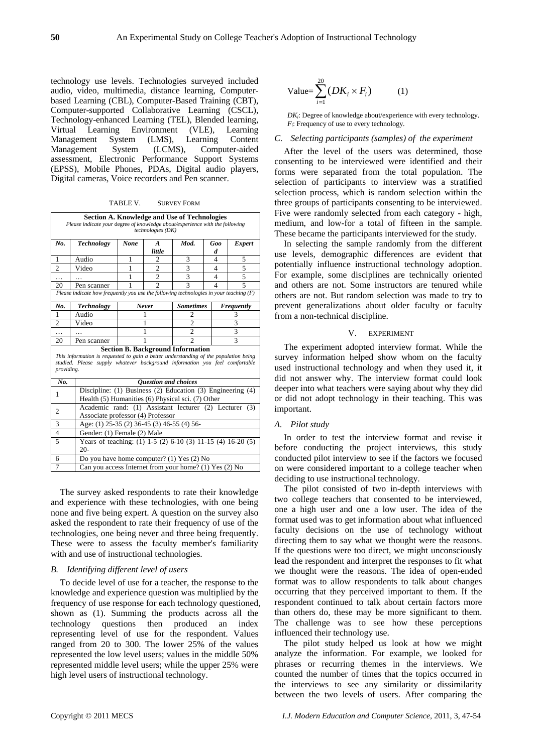technology use levels. Technologies surveyed included audio, video, multimedia, distance learning, Computerbased Learning (CBL), Computer-Based Training (CBT), Computer-supported Collaborative Learning (CSCL), Technology-enhanced Learning (TEL), Blended learning, Virtual Learning Environment (VLE), Learning Management System (LMS), Learning Content Management System (LCMS), Computer-aided assessment, Electronic Performance Support Systems (EPSS), Mobile Phones, PDAs, Digital audio players, Digital cameras, Voice recorders and Pen scanner.

TABLE V. SURVEY FORM

|                                                                                                                                                                                                                               | <b>Section A. Knowledge and Use of Technologies</b><br>Please indicate your degree of knowledge about/experience with the following<br>technologies (DK) |                                                                     |                               |                  |                |            |  |  |
|-------------------------------------------------------------------------------------------------------------------------------------------------------------------------------------------------------------------------------|----------------------------------------------------------------------------------------------------------------------------------------------------------|---------------------------------------------------------------------|-------------------------------|------------------|----------------|------------|--|--|
| No.                                                                                                                                                                                                                           | Mod.<br><b>Technology</b><br><b>None</b><br>Goo<br><i>Expert</i><br>$\boldsymbol{A}$                                                                     |                                                                     |                               |                  |                |            |  |  |
|                                                                                                                                                                                                                               | little<br>d                                                                                                                                              |                                                                     |                               |                  |                |            |  |  |
| 1                                                                                                                                                                                                                             | Audio                                                                                                                                                    | 1                                                                   | 3<br>$\overline{c}$<br>4<br>5 |                  |                |            |  |  |
| $\overline{c}$                                                                                                                                                                                                                | Video                                                                                                                                                    | 1                                                                   | $\overline{2}$                | 3                | 4              | 5          |  |  |
| .                                                                                                                                                                                                                             |                                                                                                                                                          | 1                                                                   | $\overline{c}$                | 3                | $\overline{4}$ | 5          |  |  |
| 20                                                                                                                                                                                                                            | Pen scanner                                                                                                                                              | 1                                                                   | $\mathfrak{D}$                | 3                | 4              | 5          |  |  |
|                                                                                                                                                                                                                               | Please indicate how frequently you use the following technologies in your teaching $(F)$                                                                 |                                                                     |                               |                  |                |            |  |  |
| No.                                                                                                                                                                                                                           | <b>Technology</b>                                                                                                                                        |                                                                     | Never                         | <b>Sometimes</b> |                | Frequently |  |  |
| $\mathbf{1}$                                                                                                                                                                                                                  | Audio                                                                                                                                                    |                                                                     | 1                             | 2                |                | 3          |  |  |
| $\overline{c}$                                                                                                                                                                                                                | Video                                                                                                                                                    | $\overline{c}$<br>3<br>1                                            |                               |                  |                |            |  |  |
| .                                                                                                                                                                                                                             |                                                                                                                                                          | $\overline{2}$<br>$\overline{3}$<br>1                               |                               |                  |                |            |  |  |
| 20                                                                                                                                                                                                                            | Pen scanner                                                                                                                                              |                                                                     | 1                             | $\overline{c}$   |                | 3          |  |  |
| <b>Section B. Background Information</b><br>This information is requested to gain a better understanding of the population being<br>studied. Please supply whatever background information you feel comfortable<br>providing. |                                                                                                                                                          |                                                                     |                               |                  |                |            |  |  |
| No.                                                                                                                                                                                                                           |                                                                                                                                                          | <b>Ouestion and choices</b>                                         |                               |                  |                |            |  |  |
| 1                                                                                                                                                                                                                             |                                                                                                                                                          | Discipline: (1) Business (2) Education (3) Engineering (4)          |                               |                  |                |            |  |  |
|                                                                                                                                                                                                                               | Health (5) Humanities (6) Physical sci. (7) Other                                                                                                        |                                                                     |                               |                  |                |            |  |  |
| $\overline{c}$                                                                                                                                                                                                                |                                                                                                                                                          | Academic rand: (1) Assistant lecturer (2) Lecturer<br>(3)           |                               |                  |                |            |  |  |
|                                                                                                                                                                                                                               |                                                                                                                                                          | Associate professor (4) Professor                                   |                               |                  |                |            |  |  |
| 3                                                                                                                                                                                                                             | Age: (1) 25-35 (2) 36-45 (3) 46-55 (4) 56-                                                                                                               |                                                                     |                               |                  |                |            |  |  |
| $\overline{4}$                                                                                                                                                                                                                | Gender: (1) Female (2) Male                                                                                                                              |                                                                     |                               |                  |                |            |  |  |
| 5                                                                                                                                                                                                                             | $20-$                                                                                                                                                    | Years of teaching: (1) $1-5$ (2) $6-10$ (3) $11-15$ (4) $16-20$ (5) |                               |                  |                |            |  |  |
| 6                                                                                                                                                                                                                             | Do you have home computer? (1) Yes (2) No                                                                                                                |                                                                     |                               |                  |                |            |  |  |
| 7                                                                                                                                                                                                                             | Can you access Internet from your home? (1) Yes (2) No                                                                                                   |                                                                     |                               |                  |                |            |  |  |

The survey asked respondents to rate their knowledge and experience with these technologies, with one being none and five being expert. A question on the survey also asked the respondent to rate their frequency of use of the technologies, one being never and three being frequently. These were to assess the faculty member's familiarity with and use of instructional technologies.

## *B. Identifying different level of users*

To decide level of use for a teacher, the response to the knowledge and experience question was multiplied by the frequency of use response for each technology questioned, shown as (1). Summing the products across all the technology questions then produced an index representing level of use for the respondent. Values ranged from 20 to 300. The lower 25% of the values represented the low level users; values in the middle 50% represented middle level users; while the upper 25% were high level users of instructional technology.

$$
\text{Value} = \sum_{i=1}^{20} \left( D K_i \times F_i \right) \tag{1}
$$

*DKi*: Degree of knowledge about/experience with every technology. *F<sub>i</sub>*: Frequency of use to every technology.

#### *C. Selecting participants (samples) of the experiment*

After the level of the users was determined, those consenting to be interviewed were identified and their forms were separated from the total population. The selection of participants to interview was a stratified selection process, which is random selection within the three groups of participants consenting to be interviewed. Five were randomly selected from each category - high, medium, and low-for a total of fifteen in the sample. These became the participants interviewed for the study.

In selecting the sample randomly from the different use levels, demographic differences are evident that potentially influence instructional technology adoption. For example, some disciplines are technically oriented and others are not. Some instructors are tenured while others are not. But random selection was made to try to prevent generalizations about older faculty or faculty from a non-technical discipline.

#### V. EXPERIMENT

The experiment adopted interview format. While the survey information helped show whom on the faculty used instructional technology and when they used it, it did not answer why. The interview format could look deeper into what teachers were saying about why they did or did not adopt technology in their teaching. This was important.

## *A. Pilot study*

In order to test the interview format and revise it before conducting the project interviews, this study conducted pilot interview to see if the factors we focused on were considered important to a college teacher when deciding to use instructional technology.

The pilot consisted of two in-depth interviews with two college teachers that consented to be interviewed, one a high user and one a low user. The idea of the format used was to get information about what influenced faculty decisions on the use of technology without directing them to say what we thought were the reasons. If the questions were too direct, we might unconsciously lead the respondent and interpret the responses to fit what we thought were the reasons. The idea of open-ended format was to allow respondents to talk about changes occurring that they perceived important to them. If the respondent continued to talk about certain factors more than others do, these may be more significant to them. The challenge was to see how these perceptions influenced their technology use.

The pilot study helped us look at how we might analyze the information. For example, we looked for phrases or recurring themes in the interviews. We counted the number of times that the topics occurred in the interviews to see any similarity or dissimilarity between the two levels of users. After comparing the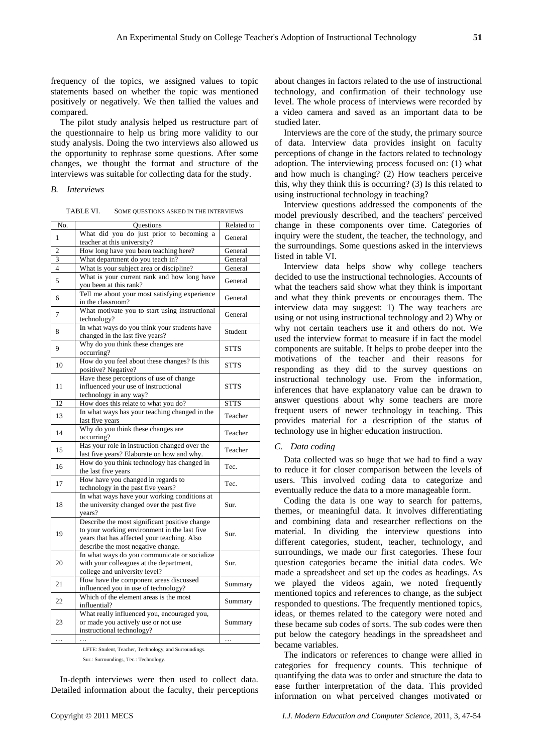frequency of the topics, we assigned values to topic statements based on whether the topic was mentioned positively or negatively. We then tallied the values and compared.

The pilot study analysis helped us restructure part of the questionnaire to help us bring more validity to our study analysis. Doing the two interviews also allowed us the opportunity to rephrase some questions. After some changes, we thought the format and structure of the interviews was suitable for collecting data for the study.

#### *B. Interviews*

| TABLE VI. | SOME QUESTIONS ASKED IN THE INTERVIEWS |
|-----------|----------------------------------------|
|-----------|----------------------------------------|

| No.                     | <b>Questions</b>                                                                                                                                                                   | Related to  |
|-------------------------|------------------------------------------------------------------------------------------------------------------------------------------------------------------------------------|-------------|
| 1                       | What did you do just prior to becoming a<br>teacher at this university?                                                                                                            | General     |
| $\overline{c}$          | How long have you been teaching here?                                                                                                                                              | General     |
| 3                       | What department do you teach in?                                                                                                                                                   | General     |
| $\overline{\mathbf{4}}$ | What is your subject area or discipline?                                                                                                                                           | General     |
| 5                       | What is your current rank and how long have<br>you been at this rank?                                                                                                              | General     |
| 6                       | Tell me about your most satisfying experience<br>in the classroom?                                                                                                                 | General     |
| 7                       | What motivate you to start using instructional<br>technology?                                                                                                                      | General     |
| 8                       | In what ways do you think your students have<br>changed in the last five years?                                                                                                    | Student     |
| 9                       | Why do you think these changes are<br>occurring?                                                                                                                                   | <b>STTS</b> |
| 10                      | How do you feel about these changes? Is this<br>positive? Negative?                                                                                                                | <b>STTS</b> |
| 11                      | Have these perceptions of use of change<br>influenced your use of instructional<br>technology in any way?                                                                          | <b>STTS</b> |
| 12                      | How does this relate to what you do?                                                                                                                                               | <b>STTS</b> |
| 13                      | In what ways has your teaching changed in the<br>last five years                                                                                                                   | Teacher     |
| 14                      | Why do you think these changes are<br>occurring?                                                                                                                                   | Teacher     |
| 15                      | Has your role in instruction changed over the<br>last five years? Elaborate on how and why.                                                                                        | Teacher     |
| 16                      | How do you think technology has changed in<br>the last five years                                                                                                                  | Tec.        |
| 17                      | How have you changed in regards to<br>technology in the past five years?                                                                                                           | Tec.        |
| 18                      | In what ways have your working conditions at<br>the university changed over the past five<br>years?                                                                                | Sur.        |
| 19                      | Describe the most significant positive change<br>to your working environment in the last five<br>years that has affected your teaching. Also<br>describe the most negative change. | Sur.        |
| 20                      | In what ways do you communicate or socialize<br>with your colleagues at the department,<br>college and university level?                                                           | Sur.        |
| 21                      | How have the component areas discussed<br>influenced you in use of technology?                                                                                                     | Summary     |
| 22                      | Which of the element areas is the most<br>influential?                                                                                                                             | Summary     |
| 23                      | What really influenced you, encouraged you,<br>or made you actively use or not use<br>instructional technology?                                                                    | Summary     |
|                         |                                                                                                                                                                                    |             |

LFTE: Student, Teacher, Technology, and Surroundings.

Sur.: Surroundings, Tec.: Technology.

In-depth interviews were then used to collect data. Detailed information about the faculty, their perceptions about changes in factors related to the use of instructional technology, and confirmation of their technology use level. The whole process of interviews were recorded by a video camera and saved as an important data to be studied later.

Interviews are the core of the study, the primary source of data. Interview data provides insight on faculty perceptions of change in the factors related to technology adoption. The interviewing process focused on: (1) what and how much is changing? (2) How teachers perceive this, why they think this is occurring? (3) Is this related to using instructional technology in teaching?

Interview questions addressed the components of the model previously described, and the teachers' perceived change in these components over time. Categories of inquiry were the student, the teacher, the technology, and the surroundings. Some questions asked in the interviews listed in table VI.

Interview data helps show why college teachers decided to use the instructional technologies. Accounts of what the teachers said show what they think is important and what they think prevents or encourages them. The interview data may suggest: 1) The way teachers are using or not using instructional technology and 2) Why or why not certain teachers use it and others do not. We used the interview format to measure if in fact the model components are suitable. It helps to probe deeper into the motivations of the teacher and their reasons for responding as they did to the survey questions on instructional technology use. From the information, inferences that have explanatory value can be drawn to answer questions about why some teachers are more frequent users of newer technology in teaching. This provides material for a description of the status of technology use in higher education instruction.

## *C. Data coding*

Data collected was so huge that we had to find a way to reduce it for closer comparison between the levels of users. This involved coding data to categorize and eventually reduce the data to a more manageable form.

Coding the data is one way to search for patterns, themes, or meaningful data. It involves differentiating and combining data and researcher reflections on the material. In dividing the interview questions into different categories, student, teacher, technology, and surroundings, we made our first categories. These four question categories became the initial data codes. We made a spreadsheet and set up the codes as headings. As we played the videos again, we noted frequently mentioned topics and references to change, as the subject responded to questions. The frequently mentioned topics, ideas, or themes related to the category were noted and these became sub codes of sorts. The sub codes were then put below the category headings in the spreadsheet and became variables.

The indicators or references to change were allied in categories for frequency counts. This technique of quantifying the data was to order and structure the data to ease further interpretation of the data. This provided information on what perceived changes motivated or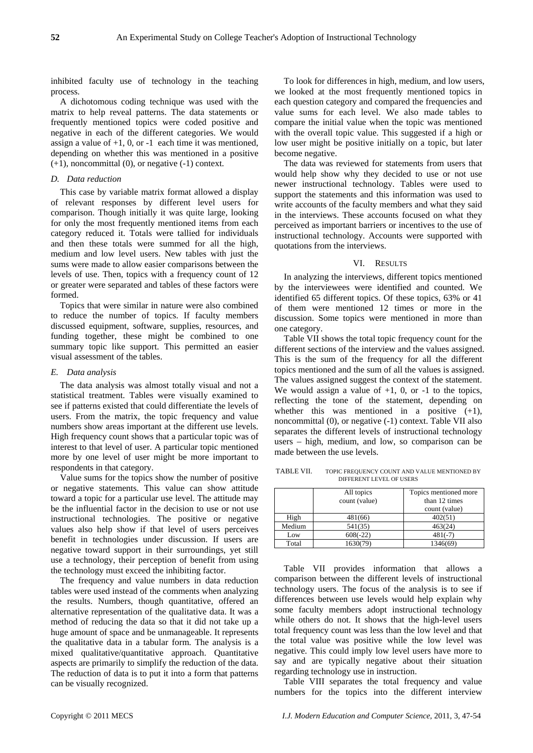inhibited faculty use of technology in the teaching process.

A dichotomous coding technique was used with the matrix to help reveal patterns. The data statements or frequently mentioned topics were coded positive and negative in each of the different categories. We would assign a value of  $+1$ , 0, or  $-1$  each time it was mentioned, depending on whether this was mentioned in a positive  $(+1)$ , noncommittal  $(0)$ , or negative  $(-1)$  context.

## *D. Data reduction*

This case by variable matrix format allowed a display of relevant responses by different level users for comparison. Though initially it was quite large, looking for only the most frequently mentioned items from each category reduced it. Totals were tallied for individuals and then these totals were summed for all the high, medium and low level users. New tables with just the sums were made to allow easier comparisons between the levels of use. Then, topics with a frequency count of 12 or greater were separated and tables of these factors were formed.

Topics that were similar in nature were also combined to reduce the number of topics. If faculty members discussed equipment, software, supplies, resources, and funding together, these might be combined to one summary topic like support. This permitted an easier visual assessment of the tables.

#### *E. Data analysis*

The data analysis was almost totally visual and not a statistical treatment. Tables were visually examined to see if patterns existed that could differentiate the levels of users. From the matrix, the topic frequency and value numbers show areas important at the different use levels. High frequency count shows that a particular topic was of interest to that level of user. A particular topic mentioned more by one level of user might be more important to respondents in that category.

Value sums for the topics show the number of positive or negative statements. This value can show attitude toward a topic for a particular use level. The attitude may be the influential factor in the decision to use or not use instructional technologies. The positive or negative values also help show if that level of users perceives benefit in technologies under discussion. If users are negative toward support in their surroundings, yet still use a technology, their perception of benefit from using the technology must exceed the inhibiting factor.

The frequency and value numbers in data reduction tables were used instead of the comments when analyzing the results. Numbers, though quantitative, offered an alternative representation of the qualitative data. It was a method of reducing the data so that it did not take up a huge amount of space and be unmanageable. It represents the qualitative data in a tabular form. The analysis is a mixed qualitative/quantitative approach. Quantitative aspects are primarily to simplify the reduction of the data. The reduction of data is to put it into a form that patterns can be visually recognized.

To look for differences in high, medium, and low users, we looked at the most frequently mentioned topics in each question category and compared the frequencies and value sums for each level. We also made tables to compare the initial value when the topic was mentioned with the overall topic value. This suggested if a high or low user might be positive initially on a topic, but later become negative.

The data was reviewed for statements from users that would help show why they decided to use or not use newer instructional technology. Tables were used to support the statements and this information was used to write accounts of the faculty members and what they said in the interviews. These accounts focused on what they perceived as important barriers or incentives to the use of instructional technology. Accounts were supported with quotations from the interviews.

## VI. RESULTS

In analyzing the interviews, different topics mentioned by the interviewees were identified and counted. We identified 65 different topics. Of these topics, 63% or 41 of them were mentioned 12 times or more in the discussion. Some topics were mentioned in more than one category.

Table VII shows the total topic frequency count for the different sections of the interview and the values assigned. This is the sum of the frequency for all the different topics mentioned and the sum of all the values is assigned. The values assigned suggest the context of the statement. We would assign a value of  $+1$ , 0, or  $-1$  to the topics, reflecting the tone of the statement, depending on whether this was mentioned in a positive  $(+1)$ , noncommittal (0), or negative (-1) context. Table VII also separates the different levels of instructional technology users – high, medium, and low, so comparison can be made between the use levels.

TABLE VII. TOPIC FREQUENCY COUNT AND VALUE MENTIONED BY DIFFERENT LEVEL OF USERS

|        | All topics<br>count (value) | Topics mentioned more<br>than 12 times<br>count (value) |
|--------|-----------------------------|---------------------------------------------------------|
| High   | 481(66)                     | 402(51)                                                 |
| Medium | 541(35)                     | 463(24)                                                 |
| Low    | $608(-22)$                  | $481(-7)$                                               |
| Total  | 1630(79)                    | 1346(69)                                                |

Table VII provides information that allows a comparison between the different levels of instructional technology users. The focus of the analysis is to see if differences between use levels would help explain why some faculty members adopt instructional technology while others do not. It shows that the high-level users total frequency count was less than the low level and that the total value was positive while the low level was negative. This could imply low level users have more to say and are typically negative about their situation regarding technology use in instruction.

Table VIII separates the total frequency and value numbers for the topics into the different interview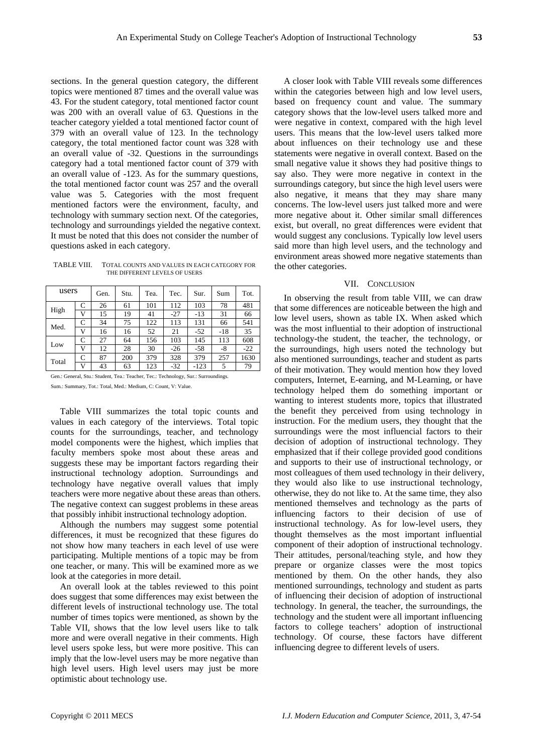sections. In the general question category, the different topics were mentioned 87 times and the overall value was 43. For the student category, total mentioned factor count was 200 with an overall value of 63. Questions in the teacher category yielded a total mentioned factor count of 379 with an overall value of 123. In the technology category, the total mentioned factor count was 328 with an overall value of -32. Questions in the surroundings category had a total mentioned factor count of 379 with an overall value of -123. As for the summary questions, the total mentioned factor count was 257 and the overall value was 5. Categories with the most frequent mentioned factors were the environment, faculty, and technology with summary section next. Of the categories, technology and surroundings yielded the negative context. It must be noted that this does not consider the number of questions asked in each category.

TABLE VIII. TOTAL COUNTS AND VALUES IN EACH CATEGORY FOR THE DIFFERENT LEVELS OF USERS

| users |   | Gen. | Stu. | Tea. | Tec.  | Sur.   | Sum   | Tot.  |
|-------|---|------|------|------|-------|--------|-------|-------|
| High  | C | 26   | 61   | 101  | 112   | 103    | 78    | 481   |
|       | v | 15   | 19   | 41   | $-27$ | $-13$  | 31    | 66    |
| Med.  | C | 34   | 75   | 122  | 113   | 131    | 66    | 541   |
|       | v | 16   | 16   | 52   | 21    | $-52$  | $-18$ | 35    |
|       | C | 27   | 64   | 156  | 103   | 145    | 113   | 608   |
| Low   | V | 12   | 28   | 30   | $-26$ | $-58$  | -8    | $-22$ |
| Total | C | 87   | 200  | 379  | 328   | 379    | 257   | 1630  |
|       | v | 43   | 63   | 123  | $-32$ | $-123$ | 5     | 79    |

Gen.: General, Stu.: Student, Tea.: Teacher, Tec.: Technology, Sur.: Surroundings.

Sum.: Summary, Tot.: Total, Med.: Medium, C: Count, V: Value.

Table VIII summarizes the total topic counts and values in each category of the interviews. Total topic counts for the surroundings, teacher, and technology model components were the highest, which implies that faculty members spoke most about these areas and suggests these may be important factors regarding their instructional technology adoption. Surroundings and technology have negative overall values that imply teachers were more negative about these areas than others. The negative context can suggest problems in these areas that possibly inhibit instructional technology adoption.

Although the numbers may suggest some potential differences, it must be recognized that these figures do not show how many teachers in each level of use were participating. Multiple mentions of a topic may be from one teacher, or many. This will be examined more as we look at the categories in more detail.

An overall look at the tables reviewed to this point does suggest that some differences may exist between the different levels of instructional technology use. The total number of times topics were mentioned, as shown by the Table VII, shows that the low level users like to talk more and were overall negative in their comments. High level users spoke less, but were more positive. This can imply that the low-level users may be more negative than high level users. High level users may just be more optimistic about technology use.

A closer look with Table VIII reveals some differences within the categories between high and low level users, based on frequency count and value. The summary category shows that the low-level users talked more and were negative in context, compared with the high level users. This means that the low-level users talked more about influences on their technology use and these statements were negative in overall context. Based on the small negative value it shows they had positive things to say also. They were more negative in context in the surroundings category, but since the high level users were also negative, it means that they may share many concerns. The low-level users just talked more and were more negative about it. Other similar small differences exist, but overall, no great differences were evident that would suggest any conclusions. Typically low level users said more than high level users, and the technology and environment areas showed more negative statements than the other categories.

## VII. CONCLUSION

In observing the result from table VIII, we can draw that some differences are noticeable between the high and low level users, shown as table IX. When asked which was the most influential to their adoption of instructional technology-the student, the teacher, the technology, or the surroundings, high users noted the technology but also mentioned surroundings, teacher and student as parts of their motivation. They would mention how they loved computers, Internet, E-earning, and M-Learning, or have technology helped them do something important or wanting to interest students more, topics that illustrated the benefit they perceived from using technology in instruction. For the medium users, they thought that the surroundings were the most influencial factors to their decision of adoption of instructional technology. They emphasized that if their college provided good conditions and supports to their use of instructional technology, or most colleagues of them used technology in their delivery, they would also like to use instructional technology, otherwise, they do not like to. At the same time, they also mentioned themselves and technology as the parts of influencing factors to their decision of use of instructional technology. As for low-level users, they thought themselves as the most important influential component of their adoption of instructional technology. Their attitudes, personal/teaching style, and how they prepare or organize classes were the most topics mentioned by them. On the other hands, they also mentioned surroundings, technology and student as parts of influencing their decision of adoption of instructional technology. In general, the teacher, the surroundings, the technology and the student were all important influencing factors to college teachers' adoption of instructional technology. Of course, these factors have different influencing degree to different levels of users.